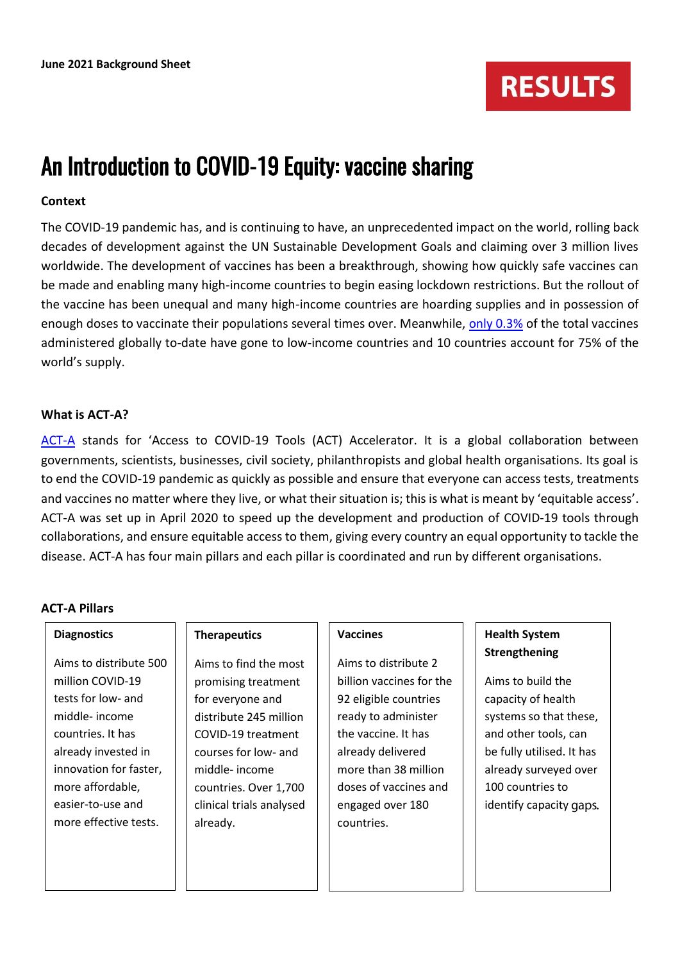

# An Introduction to COVID-19 Equity: vaccine sharing

#### **Context**

The COVID-19 pandemic has, and is continuing to have, an unprecedented impact on the world, rolling back decades of development against the UN Sustainable Development Goals and claiming over 3 million lives worldwide. The development of vaccines has been a breakthrough, showing how quickly safe vaccines can be made and enabling many high-income countries to begin easing lockdown restrictions. But the rollout of the vaccine has been unequal and many high-income countries are hoarding supplies and in possession of enough doses to vaccinate their populations several times over. Meanwhile, [only 0.3%](https://www.who.int/news-room/events/detail/2021/05/21/default-calendar/global-health-summit-2021) of the total vaccines administered globally to-date have gone to low-income countries and 10 countries account for 75% of the world's supply.

#### **What is ACT-A?**

[ACT-A](https://www.who.int/initiatives/act-accelerator/faq) stands for 'Access to COVID-19 Tools (ACT) Accelerator. It is a global collaboration between governments, scientists, businesses, civil society, philanthropists and global health organisations. Its goal is to end the COVID-19 pandemic as quickly as possible and ensure that everyone can access tests, treatments and vaccines no matter where they live, or what their situation is; this is what is meant by 'equitable access'. ACT-A was set up in April 2020 to speed up the development and production of COVID-19 tools through collaborations, and ensure equitable access to them, giving every country an equal opportunity to tackle the disease. ACT-A has four main pillars and each pillar is coordinated and run by different organisations.

#### **ACT-A Pillars**

**Diagnostics**

| Aims to distribute 500 |
|------------------------|
| million COVID-19       |
| tests for low- and     |
| middle- income         |
| countries. It has      |
| already invested in    |
| innovation for faster. |
| more affordable,       |
| easier-to-use and      |
| more effective tests.  |

#### **Therapeutics**

Aims to find the most promising treatment for everyone and distribute 245 million COVID-19 treatment courses for low- and middle- income countries. Over 1,700 clinical trials analysed already.

### **Vaccines**

Aims to distribute 2 billion vaccines for the 92 eligible countries ready to administer the vaccine. It has already delivered more than 38 million doses of vaccines and engaged over 180 countries.

# **Health System Strengthening**

Aims to build the capacity of health systems so that these, and other tools, can be fully utilised. It has already surveyed over 100 countries to identify capacity gaps.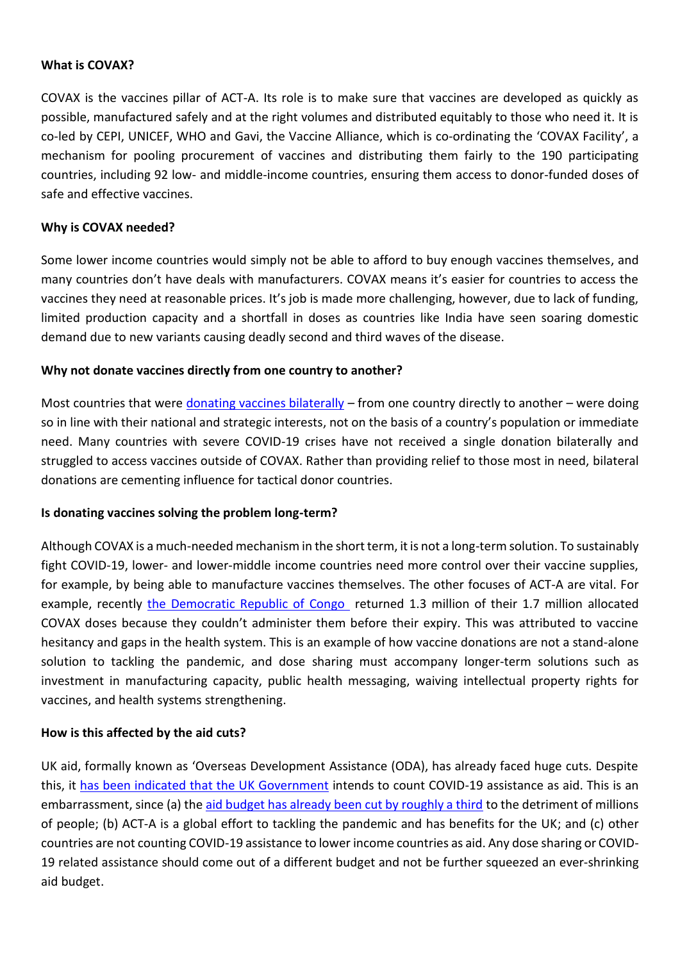#### **What is COVAX?**

COVAX is the vaccines pillar of ACT-A. Its role is to make sure that vaccines are developed as quickly as possible, manufactured safely and at the right volumes and distributed equitably to those who need it. It is co-led by CEPI, UNICEF, WHO and Gavi, the Vaccine Alliance, which is co-ordinating the 'COVAX Facility', a mechanism for pooling procurement of vaccines and distributing them fairly to the 190 participating countries, including 92 low- and middle-income countries, ensuring them access to donor-funded doses of safe and effective vaccines.

#### **Why is COVAX needed?**

Some lower income countries would simply not be able to afford to buy enough vaccines themselves, and many countries don't have deals with manufacturers. COVAX means it's easier for countries to access the vaccines they need at reasonable prices. It's job is made more challenging, however, due to lack of funding, limited production capacity and a shortfall in doses as countries like India have seen soaring domestic demand due to new variants causing deadly second and third waves of the disease.

#### **Why not donate vaccines directly from one country to another?**

Most countries that were [donating vaccines bilaterally](https://www.thinkglobalhealth.org/article/politics-vaccine-donation-and-diplomacy) – from one country directly to another – were doing so in line with their national and strategic interests, not on the basis of a country's population or immediate need. Many countries with severe COVID-19 crises have not received a single donation bilaterally and struggled to access vaccines outside of COVAX. Rather than providing relief to those most in need, bilateral donations are cementing influence for tactical donor countries.

#### **Is donating vaccines solving the problem long-term?**

Although COVAX is a much-needed mechanism in the short term, it is not a long-term solution. To sustainably fight COVID-19, lower- and lower-middle income countries need more control over their vaccine supplies, for example, by being able to manufacture vaccines themselves. The other focuses of ACT-A are vital. For example, recently [the Democratic Republic of Congo](https://www.devex.com/news/drc-to-return-1-3m-covax-vaccine-doses-before-expiry-99792) returned 1.3 million of their 1.7 million allocated COVAX doses because they couldn't administer them before their expiry. This was attributed to vaccine hesitancy and gaps in the health system. This is an example of how vaccine donations are not a stand-alone solution to tackling the pandemic, and dose sharing must accompany longer-term solutions such as investment in manufacturing capacity, public health messaging, waiving intellectual property rights for vaccines, and health systems strengthening.

#### **How is this affected by the aid cuts?**

UK aid, formally known as 'Overseas Development Assistance (ODA), has already faced huge cuts. Despite this, it [has been indicated that the UK Government](https://www.channel4.com/news/anger-as-uk-helps-poorer-countries-fight-covid-by-slashing-other-aid) intends to count COVID-19 assistance as aid. This is an embarrassment, since (a) the [aid budget has already been cut by roughly a third](https://www.results.org.uk/blog/%E2%80%9Ccallous-and-short-sighted%E2%80%9D-what-do-aid-cuts-mean-global-health-and-education) to the detriment of millions of people; (b) ACT-A is a global effort to tackling the pandemic and has benefits for the UK; and (c) other countries are not counting COVID-19 assistance to lower income countries as aid. Any dose sharing or COVID-19 related assistance should come out of a different budget and not be further squeezed an ever-shrinking aid budget.